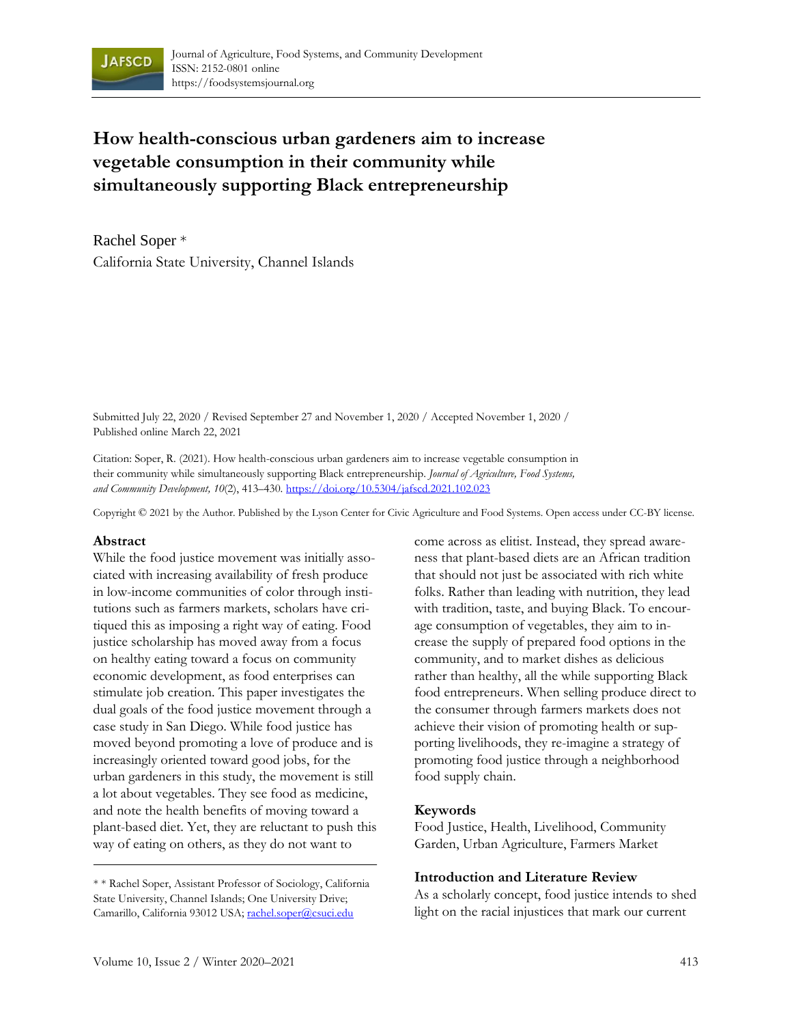

# **How health-conscious urban gardeners aim to increase vegetable consumption in their community while simultaneously supporting Black entrepreneurship**

Rachel Soper \* California State University, Channel Islands

Submitted July 22, 2020 / Revised September 27 and November 1, 2020 / Accepted November 1, 2020 / Published online March 22, 2021

Citation: Soper, R. (2021). How health-conscious urban gardeners aim to increase vegetable consumption in their community while simultaneously supporting Black entrepreneurship. *Journal of Agriculture, Food Systems, and Community Development, 10*(2), 413–430. https://doi.org/10.5304/jafscd.2021.102.023

Copyright © 2021 by the Author. Published by the Lyson Center for Civic Agriculture and Food Systems. Open access under CC-BY license.

#### **Abstract**

While the food justice movement was initially associated with increasing availability of fresh produce in low-income communities of color through institutions such as farmers markets, scholars have critiqued this as imposing a right way of eating. Food justice scholarship has moved away from a focus on healthy eating toward a focus on community economic development, as food enterprises can stimulate job creation. This paper investigates the dual goals of the food justice movement through a case study in San Diego. While food justice has moved beyond promoting a love of produce and is increasingly oriented toward good jobs, for the urban gardeners in this study, the movement is still a lot about vegetables. They see food as medicine, and note the health benefits of moving toward a plant-based diet. Yet, they are reluctant to push this way of eating on others, as they do not want to

come across as elitist. Instead, they spread awareness that plant-based diets are an African tradition that should not just be associated with rich white folks. Rather than leading with nutrition, they lead with tradition, taste, and buying Black. To encourage consumption of vegetables, they aim to increase the supply of prepared food options in the community, and to market dishes as delicious rather than healthy, all the while supporting Black food entrepreneurs. When selling produce direct to the consumer through farmers markets does not achieve their vision of promoting health or supporting livelihoods, they re-imagine a strategy of promoting food justice through a neighborhood food supply chain.

#### **Keywords**

Food Justice, Health, Livelihood, Community Garden, Urban Agriculture, Farmers Market

#### **Introduction and Literature Review**

As a scholarly concept, food justice intends to shed light on the racial injustices that mark our current

<sup>\* \*</sup> Rachel Soper, Assistant Professor of Sociology, California State University, Channel Islands; One University Drive; Camarillo, California 93012 USA; rachel.soper@csuci.edu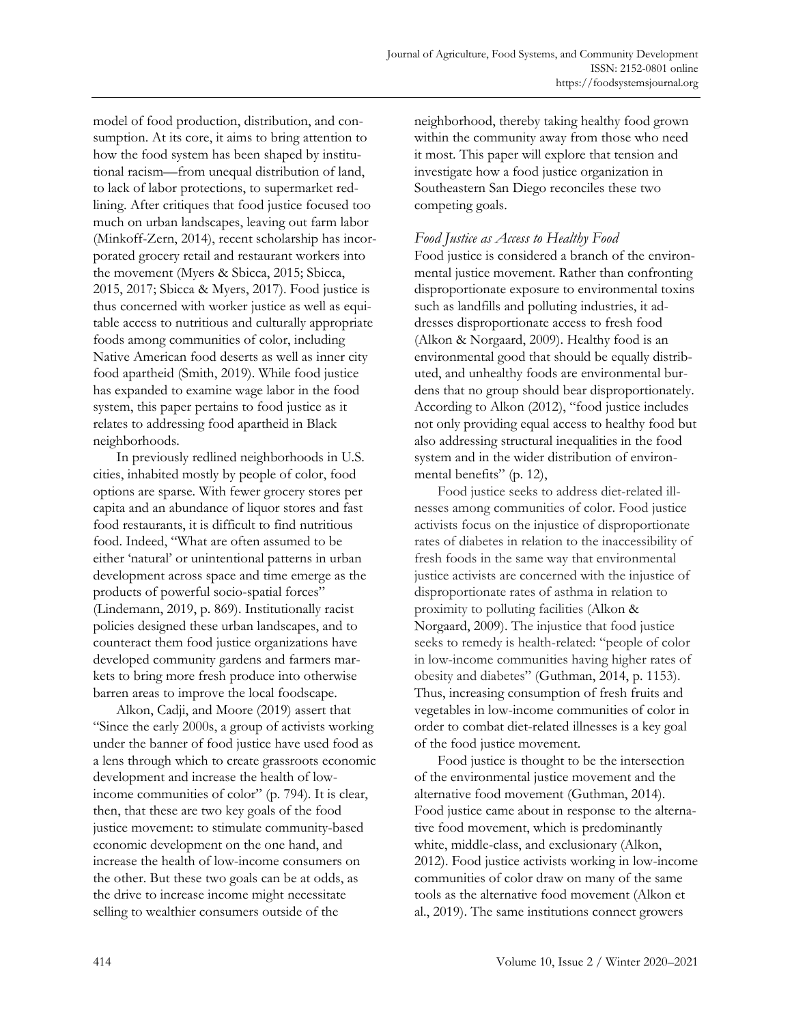model of food production, distribution, and consumption. At its core, it aims to bring attention to how the food system has been shaped by institutional racism—from unequal distribution of land, to lack of labor protections, to supermarket redlining. After critiques that food justice focused too much on urban landscapes, leaving out farm labor (Minkoff-Zern, 2014), recent scholarship has incorporated grocery retail and restaurant workers into the movement (Myers & Sbicca, 2015; Sbicca, 2015, 2017; Sbicca & Myers, 2017). Food justice is thus concerned with worker justice as well as equitable access to nutritious and culturally appropriate foods among communities of color, including Native American food deserts as well as inner city food apartheid (Smith, 2019). While food justice has expanded to examine wage labor in the food system, this paper pertains to food justice as it relates to addressing food apartheid in Black neighborhoods.

In previously redlined neighborhoods in U.S. cities, inhabited mostly by people of color, food options are sparse. With fewer grocery stores per capita and an abundance of liquor stores and fast food restaurants, it is difficult to find nutritious food. Indeed, "What are often assumed to be either 'natural' or unintentional patterns in urban development across space and time emerge as the products of powerful socio-spatial forces" (Lindemann, 2019, p. 869). Institutionally racist policies designed these urban landscapes, and to counteract them food justice organizations have developed community gardens and farmers markets to bring more fresh produce into otherwise barren areas to improve the local foodscape.

Alkon, Cadji, and Moore (2019) assert that "Since the early 2000s, a group of activists working under the banner of food justice have used food as a lens through which to create grassroots economic development and increase the health of lowincome communities of color" (p. 794). It is clear, then, that these are two key goals of the food justice movement: to stimulate community-based economic development on the one hand, and increase the health of low-income consumers on the other. But these two goals can be at odds, as the drive to increase income might necessitate selling to wealthier consumers outside of the

neighborhood, thereby taking healthy food grown within the community away from those who need it most. This paper will explore that tension and investigate how a food justice organization in Southeastern San Diego reconciles these two competing goals.

## *Food Justice as Access to Healthy Food*

Food justice is considered a branch of the environmental justice movement. Rather than confronting disproportionate exposure to environmental toxins such as landfills and polluting industries, it addresses disproportionate access to fresh food (Alkon & Norgaard, 2009). Healthy food is an environmental good that should be equally distributed, and unhealthy foods are environmental burdens that no group should bear disproportionately. According to Alkon (2012), "food justice includes not only providing equal access to healthy food but also addressing structural inequalities in the food system and in the wider distribution of environmental benefits" (p. 12),

Food justice seeks to address diet-related illnesses among communities of color. Food justice activists focus on the injustice of disproportionate rates of diabetes in relation to the inaccessibility of fresh foods in the same way that environmental justice activists are concerned with the injustice of disproportionate rates of asthma in relation to proximity to polluting facilities (Alkon & Norgaard, 2009). The injustice that food justice seeks to remedy is health-related: "people of color in low-income communities having higher rates of obesity and diabetes" (Guthman, 2014, p. 1153). Thus, increasing consumption of fresh fruits and vegetables in low-income communities of color in order to combat diet-related illnesses is a key goal of the food justice movement.

Food justice is thought to be the intersection of the environmental justice movement and the alternative food movement (Guthman, 2014). Food justice came about in response to the alternative food movement, which is predominantly white, middle-class, and exclusionary (Alkon, 2012). Food justice activists working in low-income communities of color draw on many of the same tools as the alternative food movement (Alkon et al., 2019). The same institutions connect growers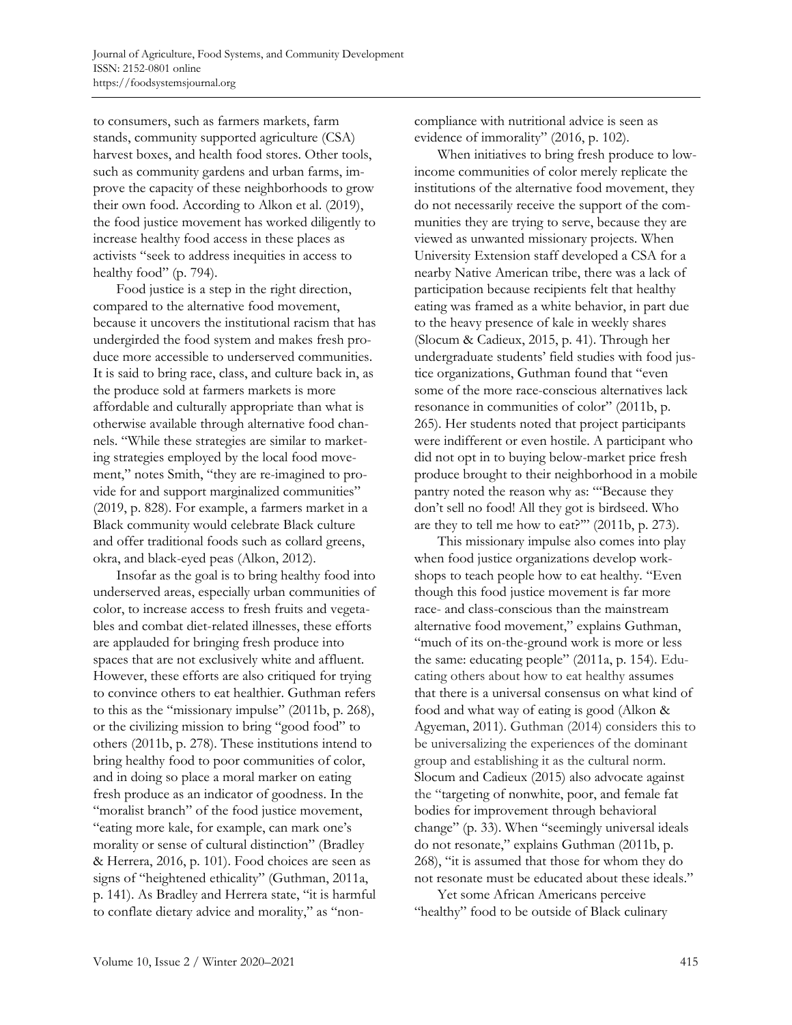to consumers, such as farmers markets, farm stands, community supported agriculture (CSA) harvest boxes, and health food stores. Other tools, such as community gardens and urban farms, improve the capacity of these neighborhoods to grow their own food. According to Alkon et al. (2019), the food justice movement has worked diligently to increase healthy food access in these places as activists "seek to address inequities in access to healthy food" (p. 794).

Food justice is a step in the right direction, compared to the alternative food movement, because it uncovers the institutional racism that has undergirded the food system and makes fresh produce more accessible to underserved communities. It is said to bring race, class, and culture back in, as the produce sold at farmers markets is more affordable and culturally appropriate than what is otherwise available through alternative food channels. "While these strategies are similar to marketing strategies employed by the local food movement," notes Smith, "they are re-imagined to provide for and support marginalized communities" (2019, p. 828). For example, a farmers market in a Black community would celebrate Black culture and offer traditional foods such as collard greens, okra, and black-eyed peas (Alkon, 2012).

Insofar as the goal is to bring healthy food into underserved areas, especially urban communities of color, to increase access to fresh fruits and vegetables and combat diet-related illnesses, these efforts are applauded for bringing fresh produce into spaces that are not exclusively white and affluent. However, these efforts are also critiqued for trying to convince others to eat healthier. Guthman refers to this as the "missionary impulse" (2011b, p. 268), or the civilizing mission to bring "good food" to others (2011b, p. 278). These institutions intend to bring healthy food to poor communities of color, and in doing so place a moral marker on eating fresh produce as an indicator of goodness. In the "moralist branch" of the food justice movement, "eating more kale, for example, can mark one's morality or sense of cultural distinction" (Bradley & Herrera, 2016, p. 101). Food choices are seen as signs of "heightened ethicality" (Guthman, 2011a, p. 141). As Bradley and Herrera state, "it is harmful to conflate dietary advice and morality," as "noncompliance with nutritional advice is seen as evidence of immorality" (2016, p. 102).

When initiatives to bring fresh produce to lowincome communities of color merely replicate the institutions of the alternative food movement, they do not necessarily receive the support of the communities they are trying to serve, because they are viewed as unwanted missionary projects. When University Extension staff developed a CSA for a nearby Native American tribe, there was a lack of participation because recipients felt that healthy eating was framed as a white behavior, in part due to the heavy presence of kale in weekly shares (Slocum & Cadieux, 2015, p. 41). Through her undergraduate students' field studies with food justice organizations, Guthman found that "even some of the more race-conscious alternatives lack resonance in communities of color" (2011b, p. 265). Her students noted that project participants were indifferent or even hostile. A participant who did not opt in to buying below-market price fresh produce brought to their neighborhood in a mobile pantry noted the reason why as: "'Because they don't sell no food! All they got is birdseed. Who are they to tell me how to eat?'" (2011b, p. 273).

This missionary impulse also comes into play when food justice organizations develop workshops to teach people how to eat healthy. "Even though this food justice movement is far more race- and class-conscious than the mainstream alternative food movement," explains Guthman, "much of its on-the-ground work is more or less the same: educating people" (2011a, p. 154). Educating others about how to eat healthy assumes that there is a universal consensus on what kind of food and what way of eating is good (Alkon & Agyeman, 2011). Guthman (2014) considers this to be universalizing the experiences of the dominant group and establishing it as the cultural norm. Slocum and Cadieux (2015) also advocate against the "targeting of nonwhite, poor, and female fat bodies for improvement through behavioral change" (p. 33). When "seemingly universal ideals do not resonate," explains Guthman (2011b, p. 268), "it is assumed that those for whom they do not resonate must be educated about these ideals."

Yet some African Americans perceive "healthy" food to be outside of Black culinary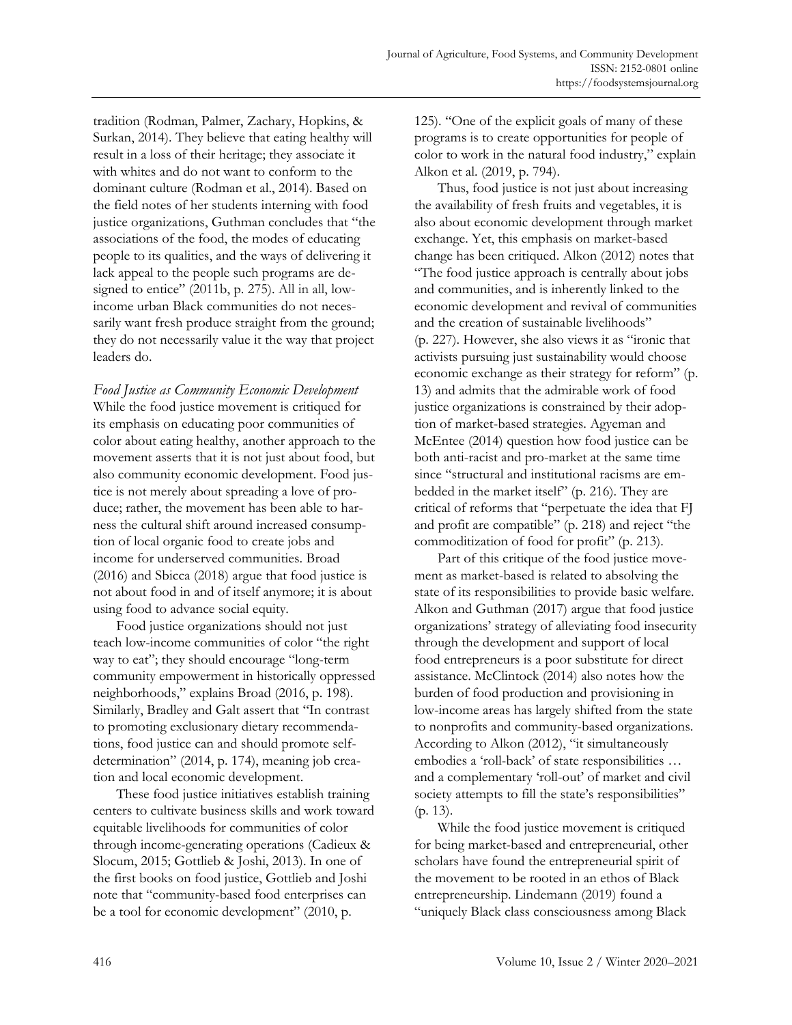tradition (Rodman, Palmer, Zachary, Hopkins, & Surkan, 2014). They believe that eating healthy will result in a loss of their heritage; they associate it with whites and do not want to conform to the dominant culture (Rodman et al., 2014). Based on the field notes of her students interning with food justice organizations, Guthman concludes that "the associations of the food, the modes of educating people to its qualities, and the ways of delivering it lack appeal to the people such programs are designed to entice" (2011b, p. 275). All in all, lowincome urban Black communities do not necessarily want fresh produce straight from the ground; they do not necessarily value it the way that project leaders do.

*Food Justice as Community Economic Development*  While the food justice movement is critiqued for its emphasis on educating poor communities of color about eating healthy, another approach to the movement asserts that it is not just about food, but also community economic development. Food justice is not merely about spreading a love of produce; rather, the movement has been able to harness the cultural shift around increased consumption of local organic food to create jobs and income for underserved communities. Broad (2016) and Sbicca (2018) argue that food justice is not about food in and of itself anymore; it is about using food to advance social equity.

Food justice organizations should not just teach low-income communities of color "the right way to eat"; they should encourage "long-term community empowerment in historically oppressed neighborhoods," explains Broad (2016, p. 198). Similarly, Bradley and Galt assert that "In contrast to promoting exclusionary dietary recommendations, food justice can and should promote selfdetermination" (2014, p. 174), meaning job creation and local economic development.

These food justice initiatives establish training centers to cultivate business skills and work toward equitable livelihoods for communities of color through income-generating operations (Cadieux & Slocum, 2015; Gottlieb & Joshi, 2013). In one of the first books on food justice, Gottlieb and Joshi note that "community-based food enterprises can be a tool for economic development" (2010, p.

125). "One of the explicit goals of many of these programs is to create opportunities for people of color to work in the natural food industry," explain Alkon et al. (2019, p. 794).

Thus, food justice is not just about increasing the availability of fresh fruits and vegetables, it is also about economic development through market exchange. Yet, this emphasis on market-based change has been critiqued. Alkon (2012) notes that "The food justice approach is centrally about jobs and communities, and is inherently linked to the economic development and revival of communities and the creation of sustainable livelihoods" (p. 227). However, she also views it as "ironic that activists pursuing just sustainability would choose economic exchange as their strategy for reform" (p. 13) and admits that the admirable work of food justice organizations is constrained by their adoption of market-based strategies. Agyeman and McEntee (2014) question how food justice can be both anti-racist and pro-market at the same time since "structural and institutional racisms are embedded in the market itself" (p. 216). They are critical of reforms that "perpetuate the idea that FJ and profit are compatible" (p. 218) and reject "the commoditization of food for profit" (p. 213).

Part of this critique of the food justice movement as market-based is related to absolving the state of its responsibilities to provide basic welfare. Alkon and Guthman (2017) argue that food justice organizations' strategy of alleviating food insecurity through the development and support of local food entrepreneurs is a poor substitute for direct assistance. McClintock (2014) also notes how the burden of food production and provisioning in low-income areas has largely shifted from the state to nonprofits and community-based organizations. According to Alkon (2012), "it simultaneously embodies a 'roll-back' of state responsibilities … and a complementary 'roll-out' of market and civil society attempts to fill the state's responsibilities" (p. 13).

While the food justice movement is critiqued for being market-based and entrepreneurial, other scholars have found the entrepreneurial spirit of the movement to be rooted in an ethos of Black entrepreneurship. Lindemann (2019) found a "uniquely Black class consciousness among Black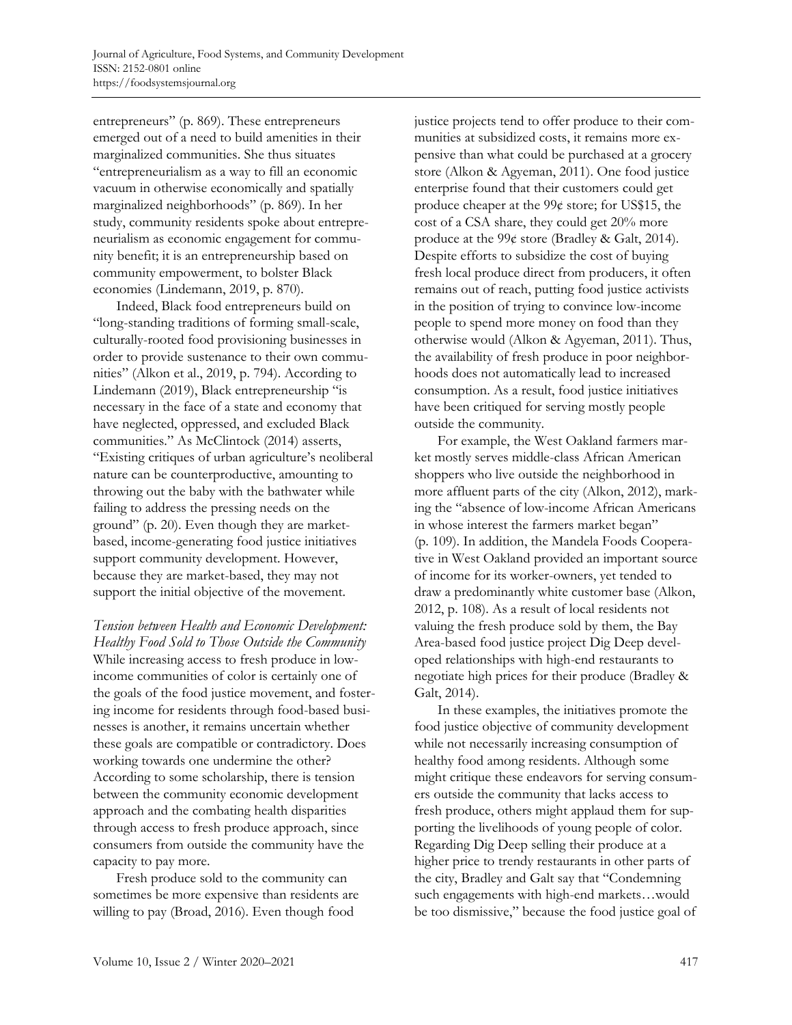entrepreneurs" (p. 869). These entrepreneurs emerged out of a need to build amenities in their marginalized communities. She thus situates "entrepreneurialism as a way to fill an economic vacuum in otherwise economically and spatially marginalized neighborhoods" (p. 869). In her study, community residents spoke about entrepreneurialism as economic engagement for community benefit; it is an entrepreneurship based on community empowerment, to bolster Black economies (Lindemann, 2019, p. 870).

Indeed, Black food entrepreneurs build on "long-standing traditions of forming small-scale, culturally-rooted food provisioning businesses in order to provide sustenance to their own communities" (Alkon et al., 2019, p. 794). According to Lindemann (2019), Black entrepreneurship "is necessary in the face of a state and economy that have neglected, oppressed, and excluded Black communities." As McClintock (2014) asserts, "Existing critiques of urban agriculture's neoliberal nature can be counterproductive, amounting to throwing out the baby with the bathwater while failing to address the pressing needs on the ground" (p. 20). Even though they are marketbased, income-generating food justice initiatives support community development. However, because they are market-based, they may not support the initial objective of the movement.

*Tension between Health and Economic Development: Healthy Food Sold to Those Outside the Community* While increasing access to fresh produce in lowincome communities of color is certainly one of the goals of the food justice movement, and fostering income for residents through food-based businesses is another, it remains uncertain whether these goals are compatible or contradictory. Does working towards one undermine the other? According to some scholarship, there is tension between the community economic development approach and the combating health disparities through access to fresh produce approach, since consumers from outside the community have the capacity to pay more.

Fresh produce sold to the community can sometimes be more expensive than residents are willing to pay (Broad, 2016). Even though food

justice projects tend to offer produce to their communities at subsidized costs, it remains more expensive than what could be purchased at a grocery store (Alkon & Agyeman, 2011). One food justice enterprise found that their customers could get produce cheaper at the 99¢ store; for US\$15, the cost of a CSA share, they could get 20% more produce at the 99¢ store (Bradley & Galt, 2014). Despite efforts to subsidize the cost of buying fresh local produce direct from producers, it often remains out of reach, putting food justice activists in the position of trying to convince low-income people to spend more money on food than they otherwise would (Alkon & Agyeman, 2011). Thus, the availability of fresh produce in poor neighborhoods does not automatically lead to increased consumption. As a result, food justice initiatives have been critiqued for serving mostly people outside the community.

For example, the West Oakland farmers market mostly serves middle-class African American shoppers who live outside the neighborhood in more affluent parts of the city (Alkon, 2012), marking the "absence of low-income African Americans in whose interest the farmers market began" (p. 109). In addition, the Mandela Foods Cooperative in West Oakland provided an important source of income for its worker-owners, yet tended to draw a predominantly white customer base (Alkon, 2012, p. 108). As a result of local residents not valuing the fresh produce sold by them, the Bay Area-based food justice project Dig Deep developed relationships with high-end restaurants to negotiate high prices for their produce (Bradley & Galt, 2014).

In these examples, the initiatives promote the food justice objective of community development while not necessarily increasing consumption of healthy food among residents. Although some might critique these endeavors for serving consumers outside the community that lacks access to fresh produce, others might applaud them for supporting the livelihoods of young people of color. Regarding Dig Deep selling their produce at a higher price to trendy restaurants in other parts of the city, Bradley and Galt say that "Condemning such engagements with high-end markets…would be too dismissive," because the food justice goal of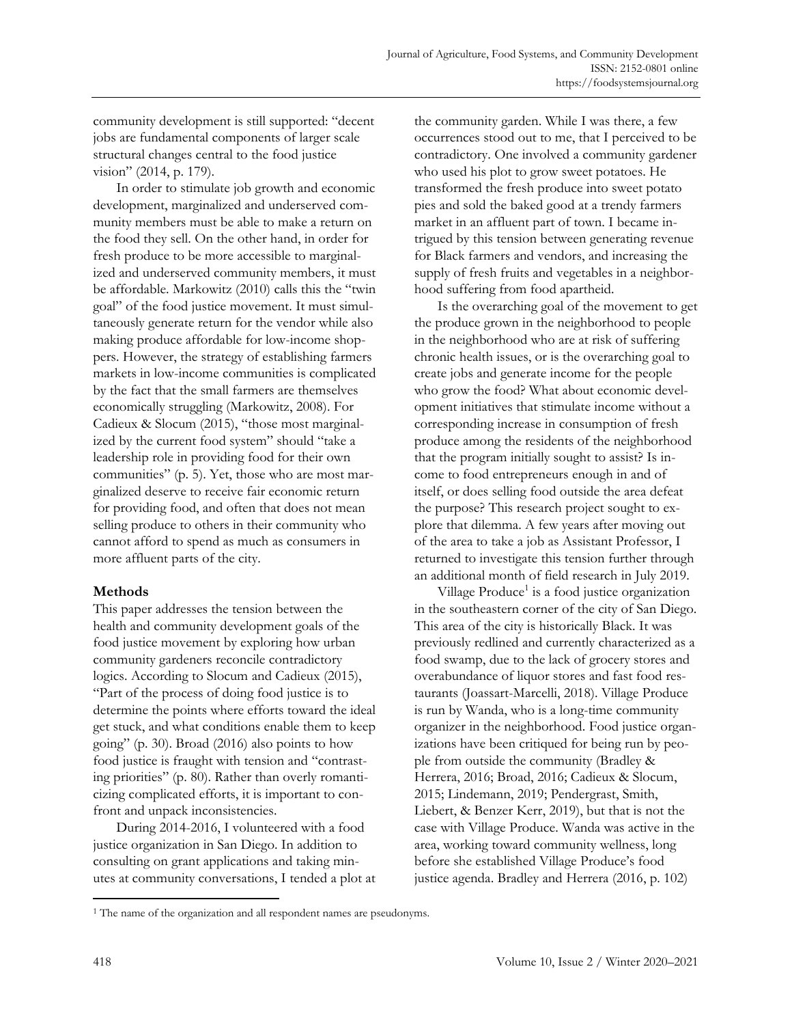community development is still supported: "decent jobs are fundamental components of larger scale structural changes central to the food justice vision" (2014, p. 179).

In order to stimulate job growth and economic development, marginalized and underserved community members must be able to make a return on the food they sell. On the other hand, in order for fresh produce to be more accessible to marginalized and underserved community members, it must be affordable. Markowitz (2010) calls this the "twin goal" of the food justice movement. It must simultaneously generate return for the vendor while also making produce affordable for low-income shoppers. However, the strategy of establishing farmers markets in low-income communities is complicated by the fact that the small farmers are themselves economically struggling (Markowitz, 2008). For Cadieux & Slocum (2015), "those most marginalized by the current food system" should "take a leadership role in providing food for their own communities" (p. 5). Yet, those who are most marginalized deserve to receive fair economic return for providing food, and often that does not mean selling produce to others in their community who cannot afford to spend as much as consumers in more affluent parts of the city.

# **Methods**

This paper addresses the tension between the health and community development goals of the food justice movement by exploring how urban community gardeners reconcile contradictory logics. According to Slocum and Cadieux (2015), "Part of the process of doing food justice is to determine the points where efforts toward the ideal get stuck, and what conditions enable them to keep going" (p. 30). Broad (2016) also points to how food justice is fraught with tension and "contrasting priorities" (p. 80). Rather than overly romanticizing complicated efforts, it is important to confront and unpack inconsistencies.

During 2014-2016, I volunteered with a food justice organization in San Diego. In addition to consulting on grant applications and taking minutes at community conversations, I tended a plot at the community garden. While I was there, a few occurrences stood out to me, that I perceived to be contradictory. One involved a community gardener who used his plot to grow sweet potatoes. He transformed the fresh produce into sweet potato pies and sold the baked good at a trendy farmers market in an affluent part of town. I became intrigued by this tension between generating revenue for Black farmers and vendors, and increasing the supply of fresh fruits and vegetables in a neighborhood suffering from food apartheid.

Is the overarching goal of the movement to get the produce grown in the neighborhood to people in the neighborhood who are at risk of suffering chronic health issues, or is the overarching goal to create jobs and generate income for the people who grow the food? What about economic development initiatives that stimulate income without a corresponding increase in consumption of fresh produce among the residents of the neighborhood that the program initially sought to assist? Is income to food entrepreneurs enough in and of itself, or does selling food outside the area defeat the purpose? This research project sought to explore that dilemma. A few years after moving out of the area to take a job as Assistant Professor, I returned to investigate this tension further through an additional month of field research in July 2019.

Village Produce<sup>1</sup> is a food justice organization in the southeastern corner of the city of San Diego. This area of the city is historically Black. It was previously redlined and currently characterized as a food swamp, due to the lack of grocery stores and overabundance of liquor stores and fast food restaurants (Joassart-Marcelli, 2018). Village Produce is run by Wanda, who is a long-time community organizer in the neighborhood. Food justice organizations have been critiqued for being run by people from outside the community (Bradley & Herrera, 2016; Broad, 2016; Cadieux & Slocum, 2015; Lindemann, 2019; Pendergrast, Smith, Liebert, & Benzer Kerr, 2019), but that is not the case with Village Produce. Wanda was active in the area, working toward community wellness, long before she established Village Produce's food justice agenda. Bradley and Herrera (2016, p. 102)

<sup>&</sup>lt;sup>1</sup> The name of the organization and all respondent names are pseudonyms.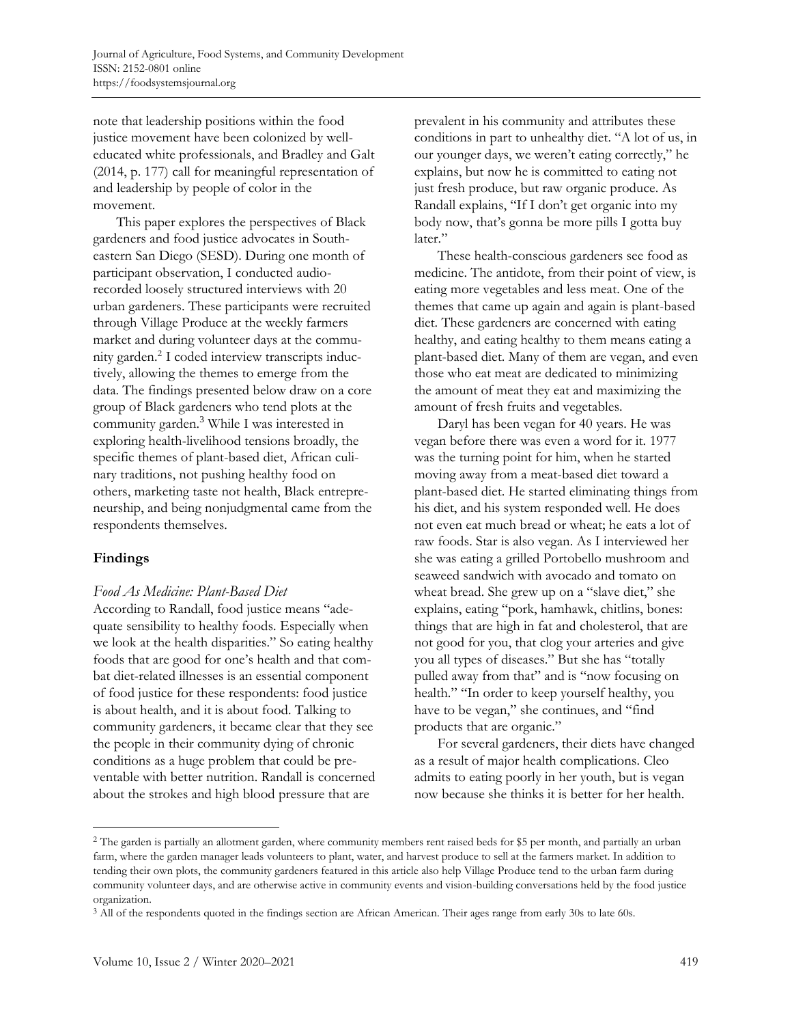note that leadership positions within the food justice movement have been colonized by welleducated white professionals, and Bradley and Galt (2014, p. 177) call for meaningful representation of and leadership by people of color in the movement.

This paper explores the perspectives of Black gardeners and food justice advocates in Southeastern San Diego (SESD). During one month of participant observation, I conducted audiorecorded loosely structured interviews with 20 urban gardeners. These participants were recruited through Village Produce at the weekly farmers market and during volunteer days at the community garden.<sup>2</sup> I coded interview transcripts inductively, allowing the themes to emerge from the data. The findings presented below draw on a core group of Black gardeners who tend plots at the community garden.<sup>3</sup> While I was interested in exploring health-livelihood tensions broadly, the specific themes of plant-based diet, African culinary traditions, not pushing healthy food on others, marketing taste not health, Black entrepreneurship, and being nonjudgmental came from the respondents themselves.

# **Findings**

## *Food As Medicine: Plant-Based Diet*

According to Randall, food justice means "adequate sensibility to healthy foods. Especially when we look at the health disparities." So eating healthy foods that are good for one's health and that combat diet-related illnesses is an essential component of food justice for these respondents: food justice is about health, and it is about food. Talking to community gardeners, it became clear that they see the people in their community dying of chronic conditions as a huge problem that could be preventable with better nutrition. Randall is concerned about the strokes and high blood pressure that are

prevalent in his community and attributes these conditions in part to unhealthy diet. "A lot of us, in our younger days, we weren't eating correctly," he explains, but now he is committed to eating not just fresh produce, but raw organic produce. As Randall explains, "If I don't get organic into my body now, that's gonna be more pills I gotta buy later."

These health-conscious gardeners see food as medicine. The antidote, from their point of view, is eating more vegetables and less meat. One of the themes that came up again and again is plant-based diet. These gardeners are concerned with eating healthy, and eating healthy to them means eating a plant-based diet. Many of them are vegan, and even those who eat meat are dedicated to minimizing the amount of meat they eat and maximizing the amount of fresh fruits and vegetables.

Daryl has been vegan for 40 years. He was vegan before there was even a word for it. 1977 was the turning point for him, when he started moving away from a meat-based diet toward a plant-based diet. He started eliminating things from his diet, and his system responded well. He does not even eat much bread or wheat; he eats a lot of raw foods. Star is also vegan. As I interviewed her she was eating a grilled Portobello mushroom and seaweed sandwich with avocado and tomato on wheat bread. She grew up on a "slave diet," she explains, eating "pork, hamhawk, chitlins, bones: things that are high in fat and cholesterol, that are not good for you, that clog your arteries and give you all types of diseases." But she has "totally pulled away from that" and is "now focusing on health." "In order to keep yourself healthy, you have to be vegan," she continues, and "find products that are organic."

For several gardeners, their diets have changed as a result of major health complications. Cleo admits to eating poorly in her youth, but is vegan now because she thinks it is better for her health.

<sup>&</sup>lt;sup>2</sup> The garden is partially an allotment garden, where community members rent raised beds for \$5 per month, and partially an urban farm, where the garden manager leads volunteers to plant, water, and harvest produce to sell at the farmers market. In addition to tending their own plots, the community gardeners featured in this article also help Village Produce tend to the urban farm during community volunteer days, and are otherwise active in community events and vision-building conversations held by the food justice organization.

<sup>3</sup> All of the respondents quoted in the findings section are African American. Their ages range from early 30s to late 60s.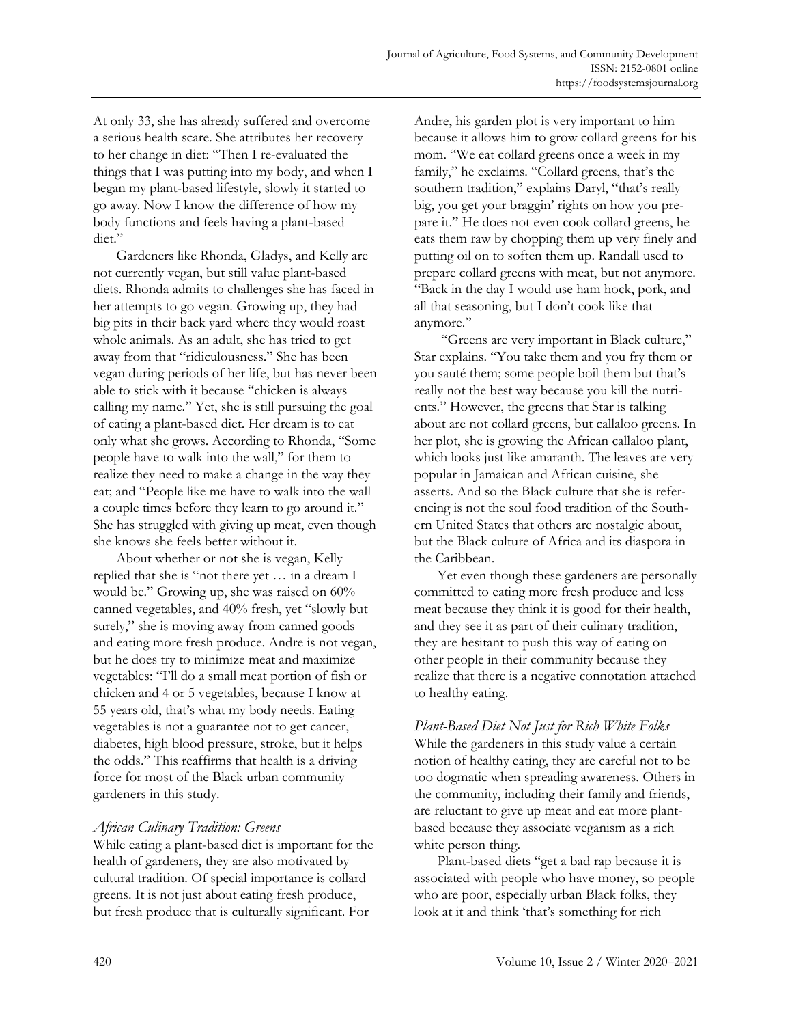At only 33, she has already suffered and overcome a serious health scare. She attributes her recovery to her change in diet: "Then I re-evaluated the things that I was putting into my body, and when I began my plant-based lifestyle, slowly it started to go away. Now I know the difference of how my body functions and feels having a plant-based diet."

Gardeners like Rhonda, Gladys, and Kelly are not currently vegan, but still value plant-based diets. Rhonda admits to challenges she has faced in her attempts to go vegan. Growing up, they had big pits in their back yard where they would roast whole animals. As an adult, she has tried to get away from that "ridiculousness." She has been vegan during periods of her life, but has never been able to stick with it because "chicken is always calling my name." Yet, she is still pursuing the goal of eating a plant-based diet. Her dream is to eat only what she grows. According to Rhonda, "Some people have to walk into the wall," for them to realize they need to make a change in the way they eat; and "People like me have to walk into the wall a couple times before they learn to go around it." She has struggled with giving up meat, even though she knows she feels better without it.

About whether or not she is vegan, Kelly replied that she is "not there yet … in a dream I would be." Growing up, she was raised on 60% canned vegetables, and 40% fresh, yet "slowly but surely," she is moving away from canned goods and eating more fresh produce. Andre is not vegan, but he does try to minimize meat and maximize vegetables: "I'll do a small meat portion of fish or chicken and 4 or 5 vegetables, because I know at 55 years old, that's what my body needs. Eating vegetables is not a guarantee not to get cancer, diabetes, high blood pressure, stroke, but it helps the odds." This reaffirms that health is a driving force for most of the Black urban community gardeners in this study.

# *African Culinary Tradition: Greens*

While eating a plant-based diet is important for the health of gardeners, they are also motivated by cultural tradition. Of special importance is collard greens. It is not just about eating fresh produce, but fresh produce that is culturally significant. For

Andre, his garden plot is very important to him because it allows him to grow collard greens for his mom. "We eat collard greens once a week in my family," he exclaims. "Collard greens, that's the southern tradition," explains Daryl, "that's really big, you get your braggin' rights on how you prepare it." He does not even cook collard greens, he eats them raw by chopping them up very finely and putting oil on to soften them up. Randall used to prepare collard greens with meat, but not anymore. "Back in the day I would use ham hock, pork, and all that seasoning, but I don't cook like that anymore."

"Greens are very important in Black culture," Star explains. "You take them and you fry them or you sauté them; some people boil them but that's really not the best way because you kill the nutrients." However, the greens that Star is talking about are not collard greens, but callaloo greens. In her plot, she is growing the African callaloo plant, which looks just like amaranth. The leaves are very popular in Jamaican and African cuisine, she asserts. And so the Black culture that she is referencing is not the soul food tradition of the Southern United States that others are nostalgic about, but the Black culture of Africa and its diaspora in the Caribbean.

Yet even though these gardeners are personally committed to eating more fresh produce and less meat because they think it is good for their health, and they see it as part of their culinary tradition, they are hesitant to push this way of eating on other people in their community because they realize that there is a negative connotation attached to healthy eating.

*Plant-Based Diet Not Just for Rich White Folks* While the gardeners in this study value a certain notion of healthy eating, they are careful not to be too dogmatic when spreading awareness. Others in the community, including their family and friends, are reluctant to give up meat and eat more plantbased because they associate veganism as a rich white person thing.

Plant-based diets "get a bad rap because it is associated with people who have money, so people who are poor, especially urban Black folks, they look at it and think 'that's something for rich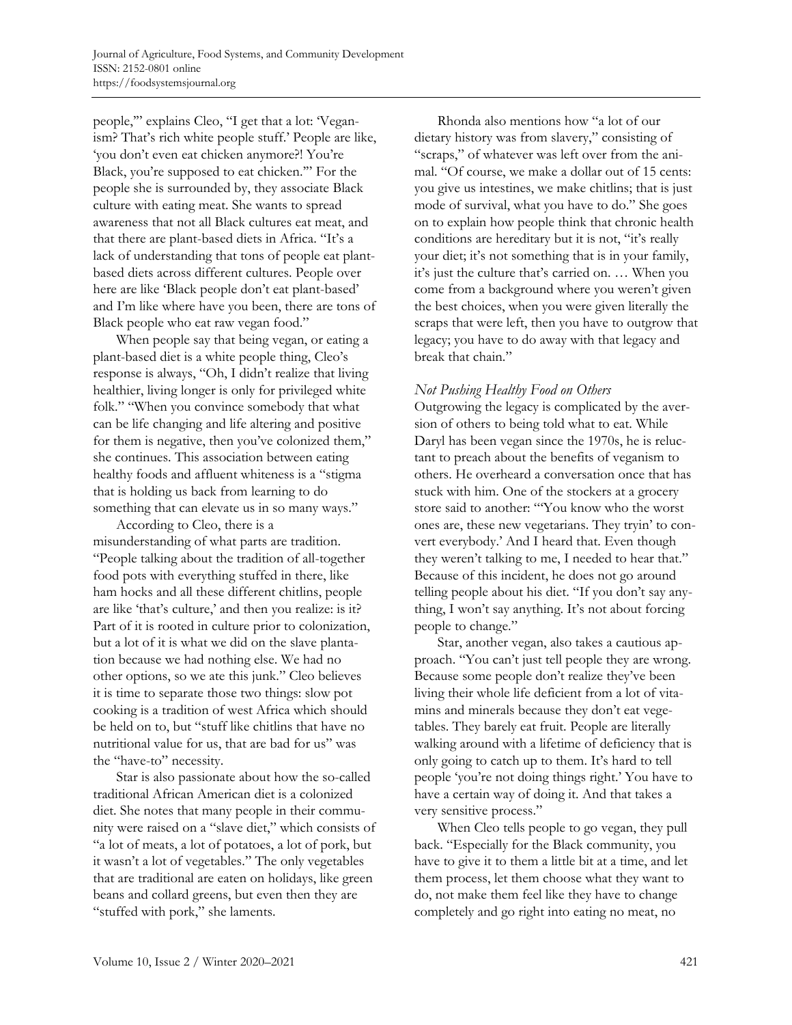people," explains Cleo, "I get that a lot: 'Veganism? That's rich white people stuff.' People are like, 'you don't even eat chicken anymore?! You're Black, you're supposed to eat chicken.'" For the people she is surrounded by, they associate Black culture with eating meat. She wants to spread awareness that not all Black cultures eat meat, and that there are plant-based diets in Africa. "It's a lack of understanding that tons of people eat plantbased diets across different cultures. People over here are like 'Black people don't eat plant-based' and I'm like where have you been, there are tons of Black people who eat raw vegan food."

When people say that being vegan, or eating a plant-based diet is a white people thing, Cleo's response is always, "Oh, I didn't realize that living healthier, living longer is only for privileged white folk." "When you convince somebody that what can be life changing and life altering and positive for them is negative, then you've colonized them," she continues. This association between eating healthy foods and affluent whiteness is a "stigma that is holding us back from learning to do something that can elevate us in so many ways."

According to Cleo, there is a misunderstanding of what parts are tradition. "People talking about the tradition of all-together food pots with everything stuffed in there, like ham hocks and all these different chitlins, people are like 'that's culture,' and then you realize: is it? Part of it is rooted in culture prior to colonization, but a lot of it is what we did on the slave plantation because we had nothing else. We had no other options, so we ate this junk." Cleo believes it is time to separate those two things: slow pot cooking is a tradition of west Africa which should be held on to, but "stuff like chitlins that have no nutritional value for us, that are bad for us" was the "have-to" necessity.

Star is also passionate about how the so-called traditional African American diet is a colonized diet. She notes that many people in their community were raised on a "slave diet," which consists of "a lot of meats, a lot of potatoes, a lot of pork, but it wasn't a lot of vegetables." The only vegetables that are traditional are eaten on holidays, like green beans and collard greens, but even then they are "stuffed with pork," she laments.

Rhonda also mentions how "a lot of our dietary history was from slavery," consisting of "scraps," of whatever was left over from the animal. "Of course, we make a dollar out of 15 cents: you give us intestines, we make chitlins; that is just mode of survival, what you have to do." She goes on to explain how people think that chronic health conditions are hereditary but it is not, "it's really your diet; it's not something that is in your family, it's just the culture that's carried on. … When you come from a background where you weren't given the best choices, when you were given literally the scraps that were left, then you have to outgrow that legacy; you have to do away with that legacy and break that chain."

## *Not Pushing Healthy Food on Others*

Outgrowing the legacy is complicated by the aversion of others to being told what to eat. While Daryl has been vegan since the 1970s, he is reluctant to preach about the benefits of veganism to others. He overheard a conversation once that has stuck with him. One of the stockers at a grocery store said to another: "'You know who the worst ones are, these new vegetarians. They tryin' to convert everybody.' And I heard that. Even though they weren't talking to me, I needed to hear that." Because of this incident, he does not go around telling people about his diet. "If you don't say anything, I won't say anything. It's not about forcing people to change."

Star, another vegan, also takes a cautious approach. "You can't just tell people they are wrong. Because some people don't realize they've been living their whole life deficient from a lot of vitamins and minerals because they don't eat vegetables. They barely eat fruit. People are literally walking around with a lifetime of deficiency that is only going to catch up to them. It's hard to tell people 'you're not doing things right.' You have to have a certain way of doing it. And that takes a very sensitive process."

When Cleo tells people to go vegan, they pull back. "Especially for the Black community, you have to give it to them a little bit at a time, and let them process, let them choose what they want to do, not make them feel like they have to change completely and go right into eating no meat, no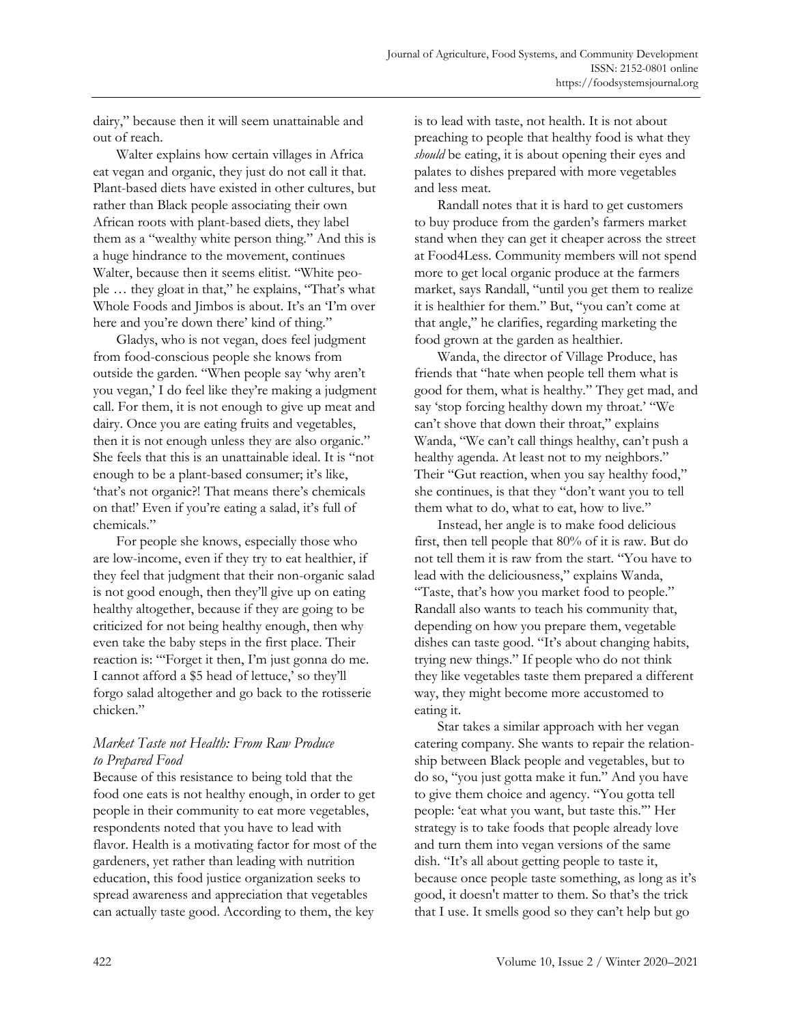dairy," because then it will seem unattainable and out of reach.

Walter explains how certain villages in Africa eat vegan and organic, they just do not call it that. Plant-based diets have existed in other cultures, but rather than Black people associating their own African roots with plant-based diets, they label them as a "wealthy white person thing." And this is a huge hindrance to the movement, continues Walter, because then it seems elitist. "White people … they gloat in that," he explains, "That's what Whole Foods and Jimbos is about. It's an 'I'm over here and you're down there' kind of thing."

Gladys, who is not vegan, does feel judgment from food-conscious people she knows from outside the garden. "When people say 'why aren't you vegan,' I do feel like they're making a judgment call. For them, it is not enough to give up meat and dairy. Once you are eating fruits and vegetables, then it is not enough unless they are also organic." She feels that this is an unattainable ideal. It is "not enough to be a plant-based consumer; it's like, 'that's not organic?! That means there's chemicals on that!' Even if you're eating a salad, it's full of chemicals."

For people she knows, especially those who are low-income, even if they try to eat healthier, if they feel that judgment that their non-organic salad is not good enough, then they'll give up on eating healthy altogether, because if they are going to be criticized for not being healthy enough, then why even take the baby steps in the first place. Their reaction is: "'Forget it then, I'm just gonna do me. I cannot afford a \$5 head of lettuce,' so they'll forgo salad altogether and go back to the rotisserie chicken."

# *Market Taste not Health: From Raw Produce to Prepared Food*

Because of this resistance to being told that the food one eats is not healthy enough, in order to get people in their community to eat more vegetables, respondents noted that you have to lead with flavor. Health is a motivating factor for most of the gardeners, yet rather than leading with nutrition education, this food justice organization seeks to spread awareness and appreciation that vegetables can actually taste good. According to them, the key

is to lead with taste, not health. It is not about preaching to people that healthy food is what they *should* be eating, it is about opening their eyes and palates to dishes prepared with more vegetables and less meat.

Randall notes that it is hard to get customers to buy produce from the garden's farmers market stand when they can get it cheaper across the street at Food4Less. Community members will not spend more to get local organic produce at the farmers market, says Randall, "until you get them to realize it is healthier for them." But, "you can't come at that angle," he clarifies, regarding marketing the food grown at the garden as healthier.

Wanda, the director of Village Produce, has friends that "hate when people tell them what is good for them, what is healthy." They get mad, and say 'stop forcing healthy down my throat.' "We can't shove that down their throat," explains Wanda, "We can't call things healthy, can't push a healthy agenda. At least not to my neighbors." Their "Gut reaction, when you say healthy food," she continues, is that they "don't want you to tell them what to do, what to eat, how to live."

Instead, her angle is to make food delicious first, then tell people that 80% of it is raw. But do not tell them it is raw from the start. "You have to lead with the deliciousness," explains Wanda, "Taste, that's how you market food to people." Randall also wants to teach his community that, depending on how you prepare them, vegetable dishes can taste good. "It's about changing habits, trying new things." If people who do not think they like vegetables taste them prepared a different way, they might become more accustomed to eating it.

Star takes a similar approach with her vegan catering company. She wants to repair the relationship between Black people and vegetables, but to do so, "you just gotta make it fun." And you have to give them choice and agency. "You gotta tell people: 'eat what you want, but taste this.'" Her strategy is to take foods that people already love and turn them into vegan versions of the same dish. "It's all about getting people to taste it, because once people taste something, as long as it's good, it doesn't matter to them. So that's the trick that I use. It smells good so they can't help but go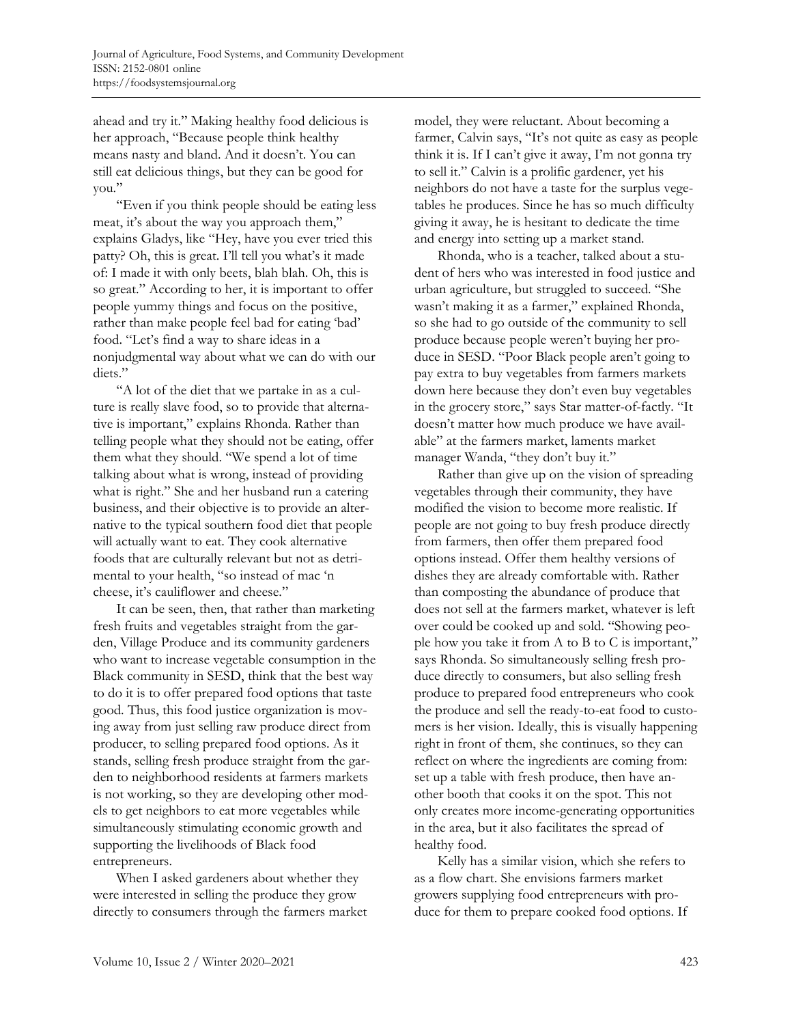ahead and try it." Making healthy food delicious is her approach, "Because people think healthy means nasty and bland. And it doesn't. You can still eat delicious things, but they can be good for you."

"Even if you think people should be eating less meat, it's about the way you approach them," explains Gladys, like "Hey, have you ever tried this patty? Oh, this is great. I'll tell you what's it made of: I made it with only beets, blah blah. Oh, this is so great." According to her, it is important to offer people yummy things and focus on the positive, rather than make people feel bad for eating 'bad' food. "Let's find a way to share ideas in a nonjudgmental way about what we can do with our diets."

"A lot of the diet that we partake in as a culture is really slave food, so to provide that alternative is important," explains Rhonda. Rather than telling people what they should not be eating, offer them what they should. "We spend a lot of time talking about what is wrong, instead of providing what is right." She and her husband run a catering business, and their objective is to provide an alternative to the typical southern food diet that people will actually want to eat. They cook alternative foods that are culturally relevant but not as detrimental to your health, "so instead of mac 'n cheese, it's cauliflower and cheese."

It can be seen, then, that rather than marketing fresh fruits and vegetables straight from the garden, Village Produce and its community gardeners who want to increase vegetable consumption in the Black community in SESD, think that the best way to do it is to offer prepared food options that taste good. Thus, this food justice organization is moving away from just selling raw produce direct from producer, to selling prepared food options. As it stands, selling fresh produce straight from the garden to neighborhood residents at farmers markets is not working, so they are developing other models to get neighbors to eat more vegetables while simultaneously stimulating economic growth and supporting the livelihoods of Black food entrepreneurs.

When I asked gardeners about whether they were interested in selling the produce they grow directly to consumers through the farmers market model, they were reluctant. About becoming a farmer, Calvin says, "It's not quite as easy as people think it is. If I can't give it away, I'm not gonna try to sell it." Calvin is a prolific gardener, yet his neighbors do not have a taste for the surplus vegetables he produces. Since he has so much difficulty giving it away, he is hesitant to dedicate the time and energy into setting up a market stand.

Rhonda, who is a teacher, talked about a student of hers who was interested in food justice and urban agriculture, but struggled to succeed. "She wasn't making it as a farmer," explained Rhonda, so she had to go outside of the community to sell produce because people weren't buying her produce in SESD. "Poor Black people aren't going to pay extra to buy vegetables from farmers markets down here because they don't even buy vegetables in the grocery store," says Star matter-of-factly. "It doesn't matter how much produce we have available" at the farmers market, laments market manager Wanda, "they don't buy it."

Rather than give up on the vision of spreading vegetables through their community, they have modified the vision to become more realistic. If people are not going to buy fresh produce directly from farmers, then offer them prepared food options instead. Offer them healthy versions of dishes they are already comfortable with. Rather than composting the abundance of produce that does not sell at the farmers market, whatever is left over could be cooked up and sold. "Showing people how you take it from A to B to C is important," says Rhonda. So simultaneously selling fresh produce directly to consumers, but also selling fresh produce to prepared food entrepreneurs who cook the produce and sell the ready-to-eat food to customers is her vision. Ideally, this is visually happening right in front of them, she continues, so they can reflect on where the ingredients are coming from: set up a table with fresh produce, then have another booth that cooks it on the spot. This not only creates more income-generating opportunities in the area, but it also facilitates the spread of healthy food.

Kelly has a similar vision, which she refers to as a flow chart. She envisions farmers market growers supplying food entrepreneurs with produce for them to prepare cooked food options. If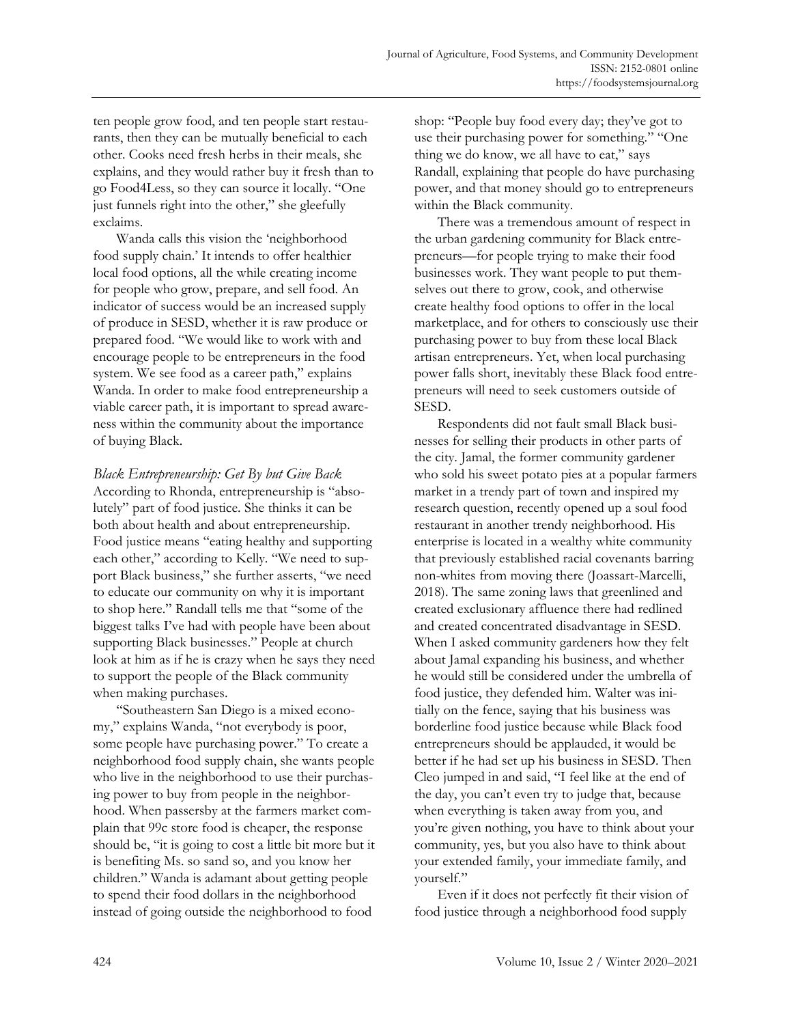ten people grow food, and ten people start restaurants, then they can be mutually beneficial to each other. Cooks need fresh herbs in their meals, she explains, and they would rather buy it fresh than to go Food4Less, so they can source it locally. "One just funnels right into the other," she gleefully exclaims.

Wanda calls this vision the 'neighborhood food supply chain.' It intends to offer healthier local food options, all the while creating income for people who grow, prepare, and sell food. An indicator of success would be an increased supply of produce in SESD, whether it is raw produce or prepared food. "We would like to work with and encourage people to be entrepreneurs in the food system. We see food as a career path," explains Wanda. In order to make food entrepreneurship a viable career path, it is important to spread awareness within the community about the importance of buying Black.

*Black Entrepreneurship: Get By but Give Back* According to Rhonda, entrepreneurship is "absolutely" part of food justice. She thinks it can be both about health and about entrepreneurship. Food justice means "eating healthy and supporting each other," according to Kelly. "We need to support Black business," she further asserts, "we need to educate our community on why it is important to shop here." Randall tells me that "some of the biggest talks I've had with people have been about supporting Black businesses." People at church look at him as if he is crazy when he says they need to support the people of the Black community when making purchases.

"Southeastern San Diego is a mixed economy," explains Wanda, "not everybody is poor, some people have purchasing power." To create a neighborhood food supply chain, she wants people who live in the neighborhood to use their purchasing power to buy from people in the neighborhood. When passersby at the farmers market complain that 99c store food is cheaper, the response should be, "it is going to cost a little bit more but it is benefiting Ms. so sand so, and you know her children." Wanda is adamant about getting people to spend their food dollars in the neighborhood instead of going outside the neighborhood to food

shop: "People buy food every day; they've got to use their purchasing power for something." "One thing we do know, we all have to eat," says Randall, explaining that people do have purchasing power, and that money should go to entrepreneurs within the Black community.

There was a tremendous amount of respect in the urban gardening community for Black entrepreneurs—for people trying to make their food businesses work. They want people to put themselves out there to grow, cook, and otherwise create healthy food options to offer in the local marketplace, and for others to consciously use their purchasing power to buy from these local Black artisan entrepreneurs. Yet, when local purchasing power falls short, inevitably these Black food entrepreneurs will need to seek customers outside of SESD.

Respondents did not fault small Black businesses for selling their products in other parts of the city. Jamal, the former community gardener who sold his sweet potato pies at a popular farmers market in a trendy part of town and inspired my research question, recently opened up a soul food restaurant in another trendy neighborhood. His enterprise is located in a wealthy white community that previously established racial covenants barring non-whites from moving there (Joassart-Marcelli, 2018). The same zoning laws that greenlined and created exclusionary affluence there had redlined and created concentrated disadvantage in SESD. When I asked community gardeners how they felt about Jamal expanding his business, and whether he would still be considered under the umbrella of food justice, they defended him. Walter was initially on the fence, saying that his business was borderline food justice because while Black food entrepreneurs should be applauded, it would be better if he had set up his business in SESD. Then Cleo jumped in and said, "I feel like at the end of the day, you can't even try to judge that, because when everything is taken away from you, and you're given nothing, you have to think about your community, yes, but you also have to think about your extended family, your immediate family, and yourself."

Even if it does not perfectly fit their vision of food justice through a neighborhood food supply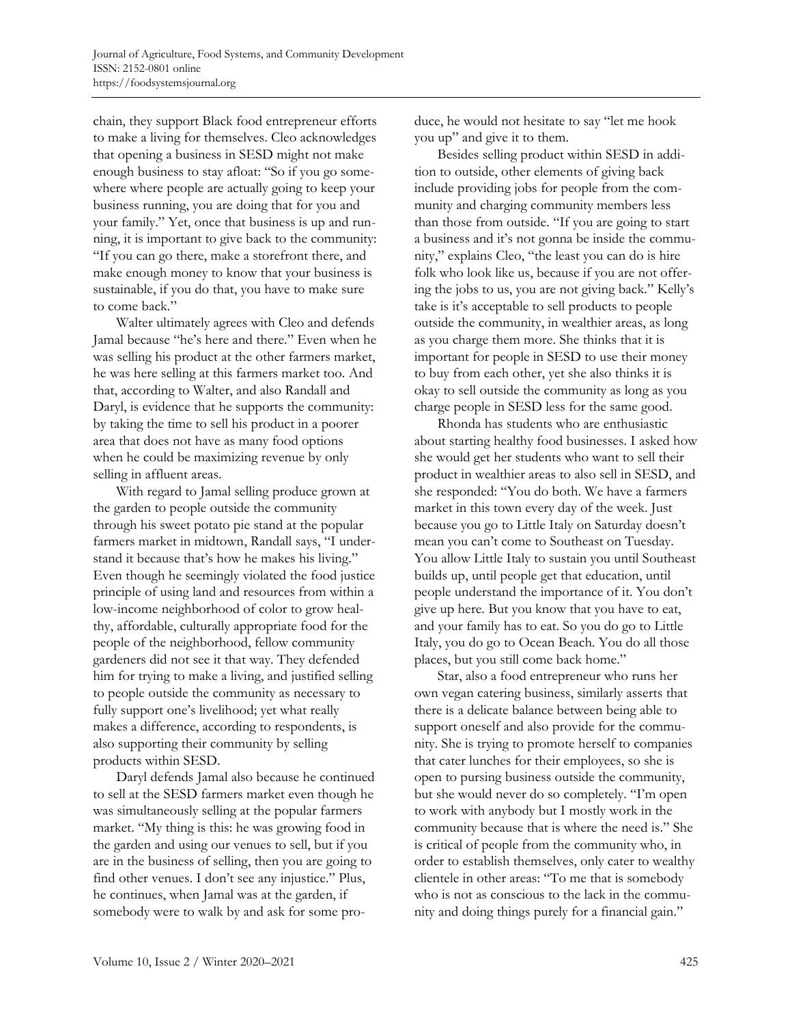chain, they support Black food entrepreneur efforts to make a living for themselves. Cleo acknowledges that opening a business in SESD might not make enough business to stay afloat: "So if you go somewhere where people are actually going to keep your business running, you are doing that for you and your family." Yet, once that business is up and running, it is important to give back to the community: "If you can go there, make a storefront there, and make enough money to know that your business is sustainable, if you do that, you have to make sure to come back."

Walter ultimately agrees with Cleo and defends Jamal because "he's here and there." Even when he was selling his product at the other farmers market, he was here selling at this farmers market too. And that, according to Walter, and also Randall and Daryl, is evidence that he supports the community: by taking the time to sell his product in a poorer area that does not have as many food options when he could be maximizing revenue by only selling in affluent areas.

With regard to Jamal selling produce grown at the garden to people outside the community through his sweet potato pie stand at the popular farmers market in midtown, Randall says, "I understand it because that's how he makes his living." Even though he seemingly violated the food justice principle of using land and resources from within a low-income neighborhood of color to grow healthy, affordable, culturally appropriate food for the people of the neighborhood, fellow community gardeners did not see it that way. They defended him for trying to make a living, and justified selling to people outside the community as necessary to fully support one's livelihood; yet what really makes a difference, according to respondents, is also supporting their community by selling products within SESD.

Daryl defends Jamal also because he continued to sell at the SESD farmers market even though he was simultaneously selling at the popular farmers market. "My thing is this: he was growing food in the garden and using our venues to sell, but if you are in the business of selling, then you are going to find other venues. I don't see any injustice." Plus, he continues, when Jamal was at the garden, if somebody were to walk by and ask for some produce, he would not hesitate to say "let me hook you up" and give it to them.

Besides selling product within SESD in addition to outside, other elements of giving back include providing jobs for people from the community and charging community members less than those from outside. "If you are going to start a business and it's not gonna be inside the community," explains Cleo, "the least you can do is hire folk who look like us, because if you are not offering the jobs to us, you are not giving back." Kelly's take is it's acceptable to sell products to people outside the community, in wealthier areas, as long as you charge them more. She thinks that it is important for people in SESD to use their money to buy from each other, yet she also thinks it is okay to sell outside the community as long as you charge people in SESD less for the same good.

Rhonda has students who are enthusiastic about starting healthy food businesses. I asked how she would get her students who want to sell their product in wealthier areas to also sell in SESD, and she responded: "You do both. We have a farmers market in this town every day of the week. Just because you go to Little Italy on Saturday doesn't mean you can't come to Southeast on Tuesday. You allow Little Italy to sustain you until Southeast builds up, until people get that education, until people understand the importance of it. You don't give up here. But you know that you have to eat, and your family has to eat. So you do go to Little Italy, you do go to Ocean Beach. You do all those places, but you still come back home."

Star, also a food entrepreneur who runs her own vegan catering business, similarly asserts that there is a delicate balance between being able to support oneself and also provide for the community. She is trying to promote herself to companies that cater lunches for their employees, so she is open to pursing business outside the community, but she would never do so completely. "I'm open to work with anybody but I mostly work in the community because that is where the need is." She is critical of people from the community who, in order to establish themselves, only cater to wealthy clientele in other areas: "To me that is somebody who is not as conscious to the lack in the community and doing things purely for a financial gain."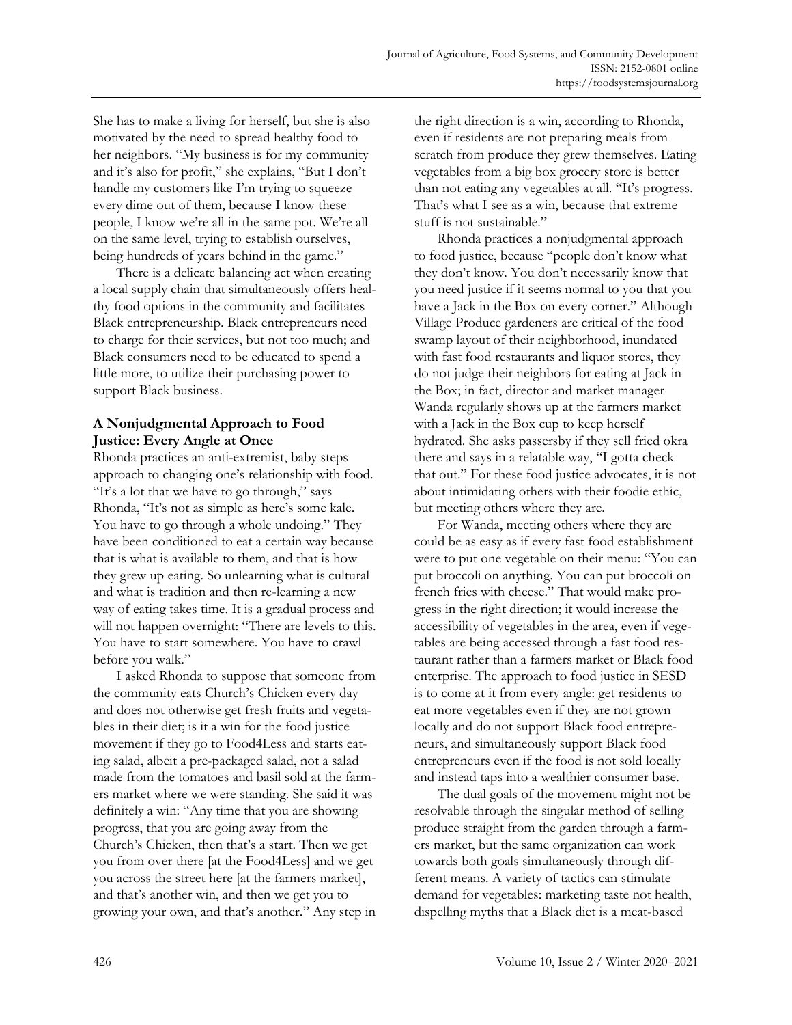She has to make a living for herself, but she is also motivated by the need to spread healthy food to her neighbors. "My business is for my community and it's also for profit," she explains, "But I don't handle my customers like I'm trying to squeeze every dime out of them, because I know these people, I know we're all in the same pot. We're all on the same level, trying to establish ourselves, being hundreds of years behind in the game."

There is a delicate balancing act when creating a local supply chain that simultaneously offers healthy food options in the community and facilitates Black entrepreneurship. Black entrepreneurs need to charge for their services, but not too much; and Black consumers need to be educated to spend a little more, to utilize their purchasing power to support Black business.

# **A Nonjudgmental Approach to Food Justice: Every Angle at Once**

Rhonda practices an anti-extremist, baby steps approach to changing one's relationship with food. "It's a lot that we have to go through," says Rhonda, "It's not as simple as here's some kale. You have to go through a whole undoing." They have been conditioned to eat a certain way because that is what is available to them, and that is how they grew up eating. So unlearning what is cultural and what is tradition and then re-learning a new way of eating takes time. It is a gradual process and will not happen overnight: "There are levels to this. You have to start somewhere. You have to crawl before you walk."

I asked Rhonda to suppose that someone from the community eats Church's Chicken every day and does not otherwise get fresh fruits and vegetables in their diet; is it a win for the food justice movement if they go to Food4Less and starts eating salad, albeit a pre-packaged salad, not a salad made from the tomatoes and basil sold at the farmers market where we were standing. She said it was definitely a win: "Any time that you are showing progress, that you are going away from the Church's Chicken, then that's a start. Then we get you from over there [at the Food4Less] and we get you across the street here [at the farmers market], and that's another win, and then we get you to growing your own, and that's another." Any step in the right direction is a win, according to Rhonda, even if residents are not preparing meals from scratch from produce they grew themselves. Eating vegetables from a big box grocery store is better than not eating any vegetables at all. "It's progress. That's what I see as a win, because that extreme stuff is not sustainable."

Rhonda practices a nonjudgmental approach to food justice, because "people don't know what they don't know. You don't necessarily know that you need justice if it seems normal to you that you have a Jack in the Box on every corner." Although Village Produce gardeners are critical of the food swamp layout of their neighborhood, inundated with fast food restaurants and liquor stores, they do not judge their neighbors for eating at Jack in the Box; in fact, director and market manager Wanda regularly shows up at the farmers market with a Jack in the Box cup to keep herself hydrated. She asks passersby if they sell fried okra there and says in a relatable way, "I gotta check that out." For these food justice advocates, it is not about intimidating others with their foodie ethic, but meeting others where they are.

For Wanda, meeting others where they are could be as easy as if every fast food establishment were to put one vegetable on their menu: "You can put broccoli on anything. You can put broccoli on french fries with cheese." That would make progress in the right direction; it would increase the accessibility of vegetables in the area, even if vegetables are being accessed through a fast food restaurant rather than a farmers market or Black food enterprise. The approach to food justice in SESD is to come at it from every angle: get residents to eat more vegetables even if they are not grown locally and do not support Black food entrepreneurs, and simultaneously support Black food entrepreneurs even if the food is not sold locally and instead taps into a wealthier consumer base.

The dual goals of the movement might not be resolvable through the singular method of selling produce straight from the garden through a farmers market, but the same organization can work towards both goals simultaneously through different means. A variety of tactics can stimulate demand for vegetables: marketing taste not health, dispelling myths that a Black diet is a meat-based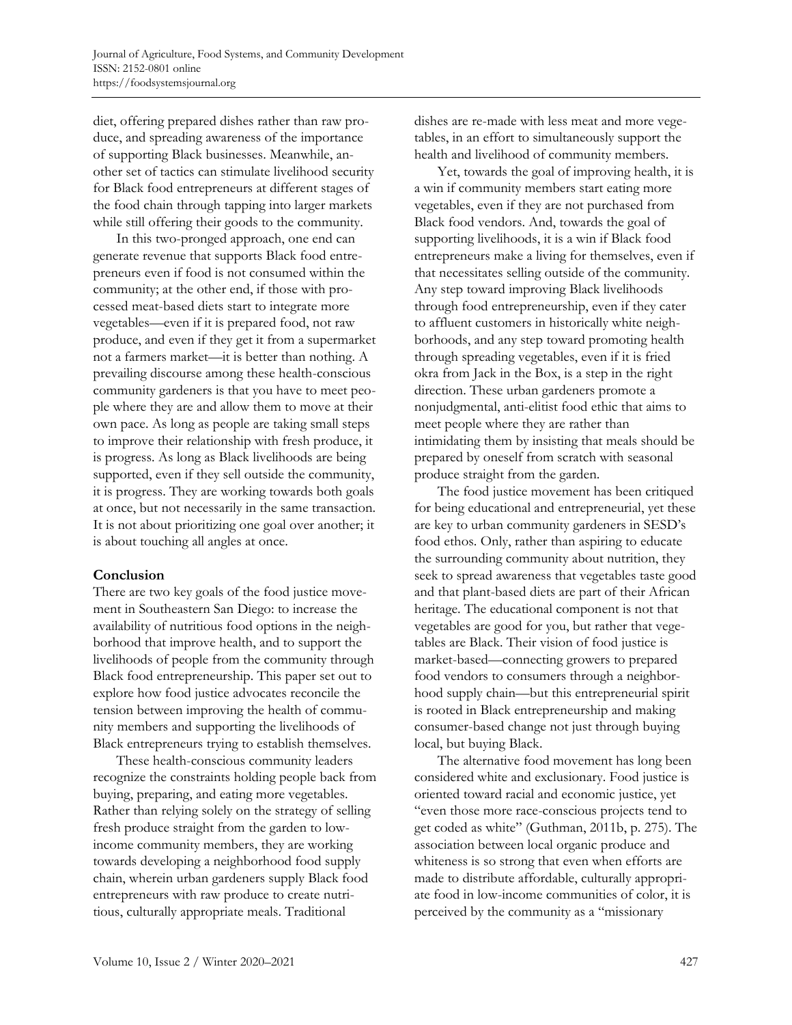diet, offering prepared dishes rather than raw produce, and spreading awareness of the importance of supporting Black businesses. Meanwhile, another set of tactics can stimulate livelihood security for Black food entrepreneurs at different stages of the food chain through tapping into larger markets while still offering their goods to the community.

In this two-pronged approach, one end can generate revenue that supports Black food entrepreneurs even if food is not consumed within the community; at the other end, if those with processed meat-based diets start to integrate more vegetables—even if it is prepared food, not raw produce, and even if they get it from a supermarket not a farmers market—it is better than nothing. A prevailing discourse among these health-conscious community gardeners is that you have to meet people where they are and allow them to move at their own pace. As long as people are taking small steps to improve their relationship with fresh produce, it is progress. As long as Black livelihoods are being supported, even if they sell outside the community, it is progress. They are working towards both goals at once, but not necessarily in the same transaction. It is not about prioritizing one goal over another; it is about touching all angles at once.

## **Conclusion**

There are two key goals of the food justice movement in Southeastern San Diego: to increase the availability of nutritious food options in the neighborhood that improve health, and to support the livelihoods of people from the community through Black food entrepreneurship. This paper set out to explore how food justice advocates reconcile the tension between improving the health of community members and supporting the livelihoods of Black entrepreneurs trying to establish themselves.

These health-conscious community leaders recognize the constraints holding people back from buying, preparing, and eating more vegetables. Rather than relying solely on the strategy of selling fresh produce straight from the garden to lowincome community members, they are working towards developing a neighborhood food supply chain, wherein urban gardeners supply Black food entrepreneurs with raw produce to create nutritious, culturally appropriate meals. Traditional

dishes are re-made with less meat and more vegetables, in an effort to simultaneously support the health and livelihood of community members.

Yet, towards the goal of improving health, it is a win if community members start eating more vegetables, even if they are not purchased from Black food vendors. And, towards the goal of supporting livelihoods, it is a win if Black food entrepreneurs make a living for themselves, even if that necessitates selling outside of the community. Any step toward improving Black livelihoods through food entrepreneurship, even if they cater to affluent customers in historically white neighborhoods, and any step toward promoting health through spreading vegetables, even if it is fried okra from Jack in the Box, is a step in the right direction. These urban gardeners promote a nonjudgmental, anti-elitist food ethic that aims to meet people where they are rather than intimidating them by insisting that meals should be prepared by oneself from scratch with seasonal produce straight from the garden.

The food justice movement has been critiqued for being educational and entrepreneurial, yet these are key to urban community gardeners in SESD's food ethos. Only, rather than aspiring to educate the surrounding community about nutrition, they seek to spread awareness that vegetables taste good and that plant-based diets are part of their African heritage. The educational component is not that vegetables are good for you, but rather that vegetables are Black. Their vision of food justice is market-based—connecting growers to prepared food vendors to consumers through a neighborhood supply chain—but this entrepreneurial spirit is rooted in Black entrepreneurship and making consumer-based change not just through buying local, but buying Black.

The alternative food movement has long been considered white and exclusionary. Food justice is oriented toward racial and economic justice, yet "even those more race-conscious projects tend to get coded as white" (Guthman, 2011b, p. 275). The association between local organic produce and whiteness is so strong that even when efforts are made to distribute affordable, culturally appropriate food in low-income communities of color, it is perceived by the community as a "missionary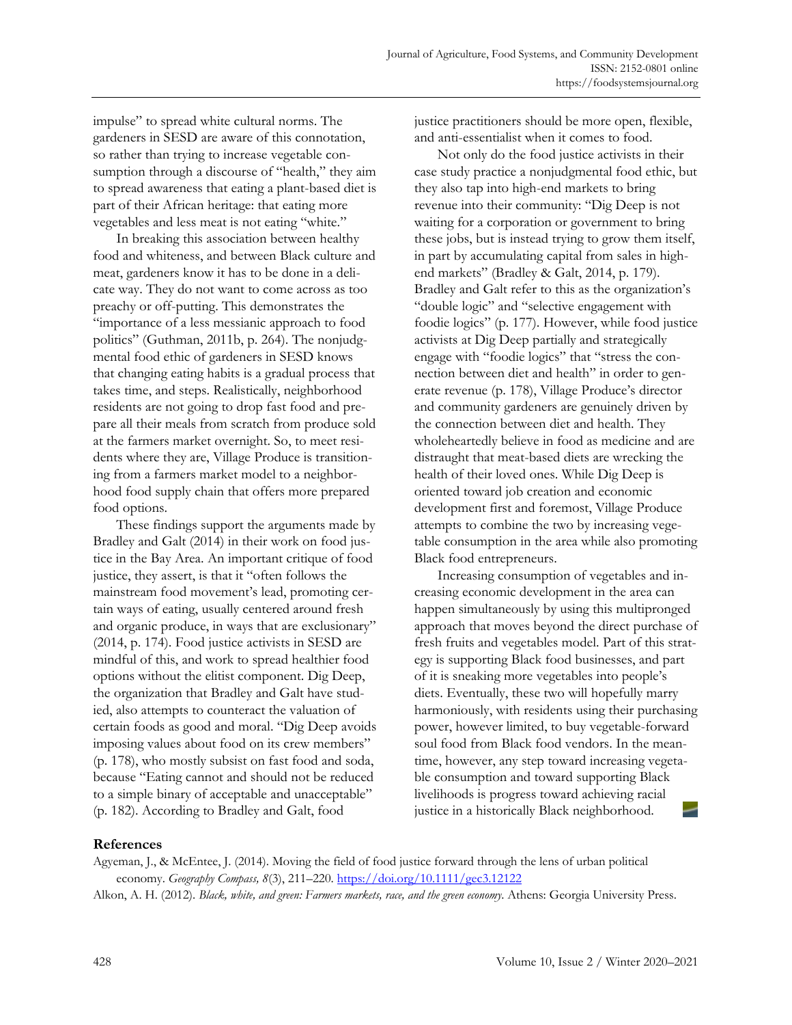impulse" to spread white cultural norms. The gardeners in SESD are aware of this connotation, so rather than trying to increase vegetable consumption through a discourse of "health," they aim to spread awareness that eating a plant-based diet is part of their African heritage: that eating more vegetables and less meat is not eating "white."

In breaking this association between healthy food and whiteness, and between Black culture and meat, gardeners know it has to be done in a delicate way. They do not want to come across as too preachy or off-putting. This demonstrates the "importance of a less messianic approach to food politics" (Guthman, 2011b, p. 264). The nonjudgmental food ethic of gardeners in SESD knows that changing eating habits is a gradual process that takes time, and steps. Realistically, neighborhood residents are not going to drop fast food and prepare all their meals from scratch from produce sold at the farmers market overnight. So, to meet residents where they are, Village Produce is transitioning from a farmers market model to a neighborhood food supply chain that offers more prepared food options.

These findings support the arguments made by Bradley and Galt (2014) in their work on food justice in the Bay Area. An important critique of food justice, they assert, is that it "often follows the mainstream food movement's lead, promoting certain ways of eating, usually centered around fresh and organic produce, in ways that are exclusionary" (2014, p. 174). Food justice activists in SESD are mindful of this, and work to spread healthier food options without the elitist component. Dig Deep, the organization that Bradley and Galt have studied, also attempts to counteract the valuation of certain foods as good and moral. "Dig Deep avoids imposing values about food on its crew members" (p. 178), who mostly subsist on fast food and soda, because "Eating cannot and should not be reduced to a simple binary of acceptable and unacceptable" (p. 182). According to Bradley and Galt, food

justice practitioners should be more open, flexible, and anti-essentialist when it comes to food.

Not only do the food justice activists in their case study practice a nonjudgmental food ethic, but they also tap into high-end markets to bring revenue into their community: "Dig Deep is not waiting for a corporation or government to bring these jobs, but is instead trying to grow them itself, in part by accumulating capital from sales in highend markets" (Bradley & Galt, 2014, p. 179). Bradley and Galt refer to this as the organization's "double logic" and "selective engagement with foodie logics" (p. 177). However, while food justice activists at Dig Deep partially and strategically engage with "foodie logics" that "stress the connection between diet and health" in order to generate revenue (p. 178), Village Produce's director and community gardeners are genuinely driven by the connection between diet and health. They wholeheartedly believe in food as medicine and are distraught that meat-based diets are wrecking the health of their loved ones. While Dig Deep is oriented toward job creation and economic development first and foremost, Village Produce attempts to combine the two by increasing vegetable consumption in the area while also promoting Black food entrepreneurs.

Increasing consumption of vegetables and increasing economic development in the area can happen simultaneously by using this multipronged approach that moves beyond the direct purchase of fresh fruits and vegetables model. Part of this strategy is supporting Black food businesses, and part of it is sneaking more vegetables into people's diets. Eventually, these two will hopefully marry harmoniously, with residents using their purchasing power, however limited, to buy vegetable-forward soul food from Black food vendors. In the meantime, however, any step toward increasing vegetable consumption and toward supporting Black livelihoods is progress toward achieving racial justice in a historically Black neighborhood.

## **References**

Agyeman, J., & McEntee, J. (2014). Moving the field of food justice forward through the lens of urban political economy. *Geography Compass, 8*(3), 211–220. https://doi.org/10.1111/gec3.12122

Alkon, A. H. (2012). *Black, white, and green: Farmers markets, race, and the green economy*. Athens: Georgia University Press.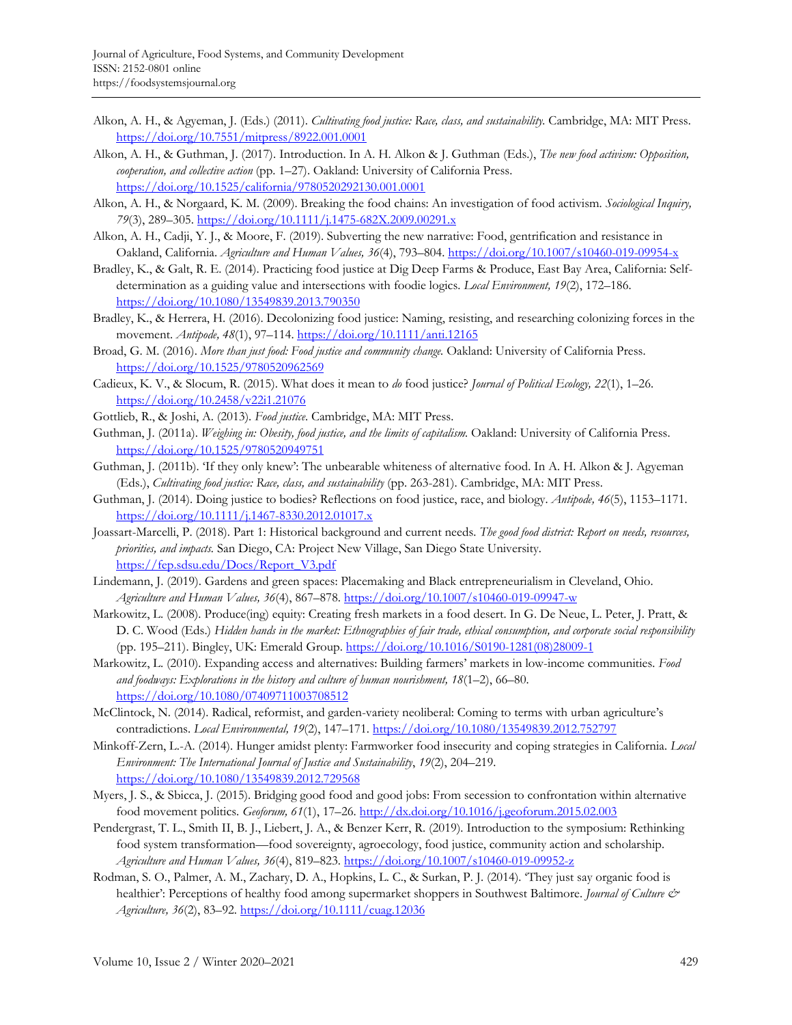- Alkon, A. H., & Agyeman, J. (Eds.) (2011). *Cultivating food justice: Race, class, and sustainability.* Cambridge, MA: MIT Press. https://doi.org/10.7551/mitpress/8922.001.0001
- Alkon, A. H., & Guthman, J. (2017). Introduction. In A. H. Alkon & J. Guthman (Eds.), *The new food activism: Opposition, cooperation, and collective action* (pp. 1–27). Oakland: University of California Press. https://doi.org/10.1525/california/9780520292130.001.0001
- Alkon, A. H., & Norgaard, K. M. (2009). Breaking the food chains: An investigation of food activism. *Sociological Inquiry, 79*(3), 289–305. https://doi.org/10.1111/j.1475-682X.2009.00291.x
- Alkon, A. H., Cadji, Y. J., & Moore, F. (2019). Subverting the new narrative: Food, gentrification and resistance in Oakland, California. *Agriculture and Human Values, 36*(4), 793–804. https://doi.org/10.1007/s10460-019-09954-x
- Bradley, K., & Galt, R. E. (2014). Practicing food justice at Dig Deep Farms & Produce, East Bay Area, California: Selfdetermination as a guiding value and intersections with foodie logics. *Local Environment, 19*(2), 172–186. https://doi.org/10.1080/13549839.2013.790350
- Bradley, K., & Herrera, H. (2016). Decolonizing food justice: Naming, resisting, and researching colonizing forces in the movement. *Antipode, 48*(1), 97–114. https://doi.org/10.1111/anti.12165
- Broad, G. M. (2016). *More than just food: Food justice and community change.* Oakland: University of California Press. https://doi.org/10.1525/9780520962569
- Cadieux, K. V., & Slocum, R. (2015). What does it mean to *do* food justice? *Journal of Political Ecology, 22*(1), 1–26. https://doi.org/10.2458/v22i1.21076
- Gottlieb, R., & Joshi, A. (2013). *Food justice*. Cambridge, MA: MIT Press.
- Guthman, J. (2011a). *Weighing in: Obesity, food justice, and the limits of capitalism.* Oakland: University of California Press. https://doi.org/10.1525/9780520949751
- Guthman, J. (2011b). 'If they only knew': The unbearable whiteness of alternative food. In A. H. Alkon & J. Agyeman (Eds.), *Cultivating food justice: Race, class, and sustainability* (pp. 263-281). Cambridge, MA: MIT Press.
- Guthman, J. (2014). Doing justice to bodies? Reflections on food justice, race, and biology. *Antipode, 46*(5), 1153–1171. https://doi.org/10.1111/j.1467-8330.2012.01017.x
- Joassart-Marcelli, P. (2018). Part 1: Historical background and current needs. *The good food district: Report on needs, resources, priorities, and impacts.* San Diego, CA: Project New Village, San Diego State University. https://fep.sdsu.edu/Docs/Report\_V3.pdf
- Lindemann, J. (2019). Gardens and green spaces: Placemaking and Black entrepreneurialism in Cleveland, Ohio. *Agriculture and Human Values, 36*(4), 867–878. https://doi.org/10.1007/s10460-019-09947-w
- Markowitz, L. (2008). Produce(ing) equity: Creating fresh markets in a food desert. In G. De Neue, L. Peter, J. Pratt, & D. C. Wood (Eds.) *Hidden hands in the market: Ethnographies of fair trade, ethical consumption, and corporate social responsibility* (pp. 195–211). Bingley, UK: Emerald Group. [https://doi.org/10.1016/S0190-1281\(08\)28009-1](https://doi.org/10.1016/S0190-1281(08)28009-1)
- Markowitz, L. (2010). Expanding access and alternatives: Building farmers' markets in low-income communities. *Food and foodways: Explorations in the history and culture of human nourishment, 18*(1–2), 66–80. https://doi.org/10.1080/07409711003708512
- McClintock, N. (2014). Radical, reformist, and garden-variety neoliberal: Coming to terms with urban agriculture's contradictions. *Local Environmental, 19*(2), 147–171. https://doi.org/10.1080/13549839.2012.752797
- Minkoff-Zern, L.-A. (2014). Hunger amidst plenty: Farmworker food insecurity and coping strategies in California. *Local Environment: The International Journal of Justice and Sustainability*, *19*(2), 204–219. https://doi.org/10.1080/13549839.2012.729568
- Myers, J. S., & Sbicca, J. (2015). Bridging good food and good jobs: From secession to confrontation within alternative food movement politics. *Geoforum, 61*(1), 17–26. http://dx.doi.org/10.1016/j.geoforum.2015.02.003
- Pendergrast, T. L., Smith II, B. J., Liebert, J. A., & Benzer Kerr, R. (2019). Introduction to the symposium: Rethinking food system transformation—food sovereignty, agroecology, food justice, community action and scholarship. *Agriculture and Human Values, 36*(4), 819–823. https://doi.org/10.1007/s10460-019-09952-z
- Rodman, S. O., Palmer, A. M., Zachary, D. A., Hopkins, L. C., & Surkan, P. J. (2014). 'They just say organic food is healthier': Perceptions of healthy food among supermarket shoppers in Southwest Baltimore. *Journal of Culture & Agriculture, 36*(2), 83–92. https://doi.org/10.1111/cuag.12036